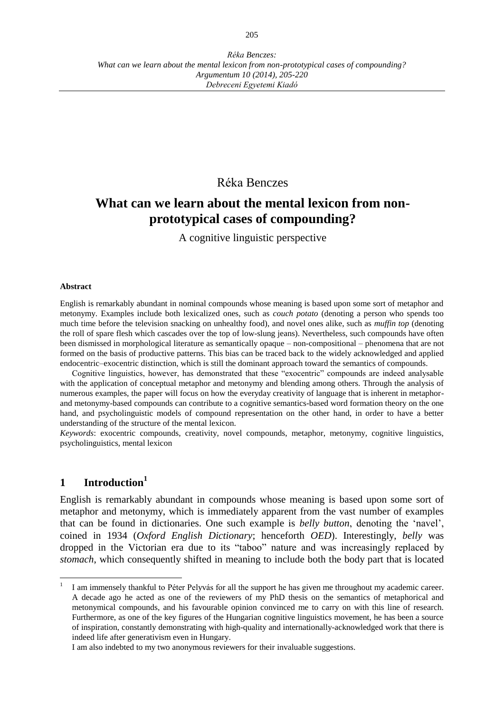# Réka Benczes

# **What can we learn about the mental lexicon from nonprototypical cases of compounding?**

A cognitive linguistic perspective

#### **Abstract**

English is remarkably abundant in nominal compounds whose meaning is based upon some sort of metaphor and metonymy. Examples include both lexicalized ones, such as *couch potato* (denoting a person who spends too much time before the television snacking on unhealthy food), and novel ones alike, such as *muffin top* (denoting the roll of spare flesh which cascades over the top of low-slung jeans). Nevertheless, such compounds have often been dismissed in morphological literature as semantically opaque – non-compositional – phenomena that are not formed on the basis of productive patterns. This bias can be traced back to the widely acknowledged and applied endocentric–exocentric distinction, which is still the dominant approach toward the semantics of compounds.

Cognitive linguistics, however, has demonstrated that these "exocentric" compounds are indeed analysable with the application of conceptual metaphor and metonymy and blending among others. Through the analysis of numerous examples, the paper will focus on how the everyday creativity of language that is inherent in metaphorand metonymy-based compounds can contribute to a cognitive semantics-based word formation theory on the one hand, and psycholinguistic models of compound representation on the other hand, in order to have a better understanding of the structure of the mental lexicon.

*Keywords*: exocentric compounds, creativity, novel compounds, metaphor, metonymy, cognitive linguistics, psycholinguistics, mental lexicon

# **1 Introduction<sup>1</sup>**

 $\overline{a}$ 

English is remarkably abundant in compounds whose meaning is based upon some sort of metaphor and metonymy, which is immediately apparent from the vast number of examples that can be found in dictionaries. One such example is *belly button*, denoting the 'navel', coined in 1934 (*Oxford English Dictionary*; henceforth *OED*). Interestingly, *belly* was dropped in the Victorian era due to its "taboo" nature and was increasingly replaced by *stomach*, which consequently shifted in meaning to include both the body part that is located

<sup>1</sup> I am immensely thankful to Péter Pelyvás for all the support he has given me throughout my academic career. A decade ago he acted as one of the reviewers of my PhD thesis on the semantics of metaphorical and metonymical compounds, and his favourable opinion convinced me to carry on with this line of research. Furthermore, as one of the key figures of the Hungarian cognitive linguistics movement, he has been a source of inspiration, constantly demonstrating with high-quality and internationally-acknowledged work that there is indeed life after generativism even in Hungary.

I am also indebted to my two anonymous reviewers for their invaluable suggestions.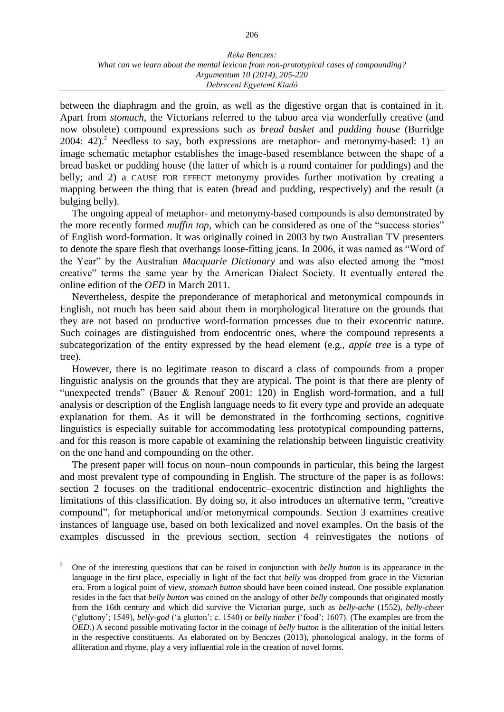between the diaphragm and the groin, as well as the digestive organ that is contained in it. Apart from *stomach*, the Victorians referred to the taboo area via wonderfully creative (and now obsolete) compound expressions such as *bread basket* and *pudding house* (Burridge  $2004: 42.2$  Needless to say, both expressions are metaphor- and metonymy-based: 1) an image schematic metaphor establishes the image-based resemblance between the shape of a bread basket or pudding house (the latter of which is a round container for puddings) and the belly; and 2) a CAUSE FOR EFFECT metonymy provides further motivation by creating a mapping between the thing that is eaten (bread and pudding, respectively) and the result (a bulging belly).

The ongoing appeal of metaphor- and metonymy-based compounds is also demonstrated by the more recently formed *muffin top*, which can be considered as one of the "success stories" of English word-formation. It was originally coined in 2003 by two Australian TV presenters to denote the spare flesh that overhangs loose-fitting jeans. In 2006, it was named as "Word of the Year" by the Australian *Macquarie Dictionary* and was also elected among the "most creative" terms the same year by the American Dialect Society. It eventually entered the online edition of the *OED* in March 2011.

Nevertheless, despite the preponderance of metaphorical and metonymical compounds in English, not much has been said about them in morphological literature on the grounds that they are not based on productive word-formation processes due to their exocentric nature. Such coinages are distinguished from endocentric ones, where the compound represents a subcategorization of the entity expressed by the head element (e.g., *apple tree* is a type of tree).

However, there is no legitimate reason to discard a class of compounds from a proper linguistic analysis on the grounds that they are atypical. The point is that there are plenty of "unexpected trends" (Bauer & Renouf 2001: 120) in English word-formation, and a full analysis or description of the English language needs to fit every type and provide an adequate explanation for them. As it will be demonstrated in the forthcoming sections, cognitive linguistics is especially suitable for accommodating less prototypical compounding patterns, and for this reason is more capable of examining the relationship between linguistic creativity on the one hand and compounding on the other.

The present paper will focus on noun–noun compounds in particular, this being the largest and most prevalent type of compounding in English. The structure of the paper is as follows: section 2 focuses on the traditional endocentric–exocentric distinction and highlights the limitations of this classification. By doing so, it also introduces an alternative term, "creative compound", for metaphorical and/or metonymical compounds. Section 3 examines creative instances of language use, based on both lexicalized and novel examples. On the basis of the examples discussed in the previous section, section 4 reinvestigates the notions of

<sup>2</sup> One of the interesting questions that can be raised in conjunction with *belly button* is its appearance in the language in the first place, especially in light of the fact that *belly* was dropped from grace in the Victorian era. From a logical point of view, *stomach button* should have been coined instead. One possible explanation resides in the fact that *belly button* was coined on the analogy of other *belly* compounds that originated mostly from the 16th century and which did survive the Victorian purge, such as *belly-ache* (1552), *belly-cheer*  ('gluttony'; 1549), *belly-god* ('a glutton'; c. 1540) or *belly timber* ('food'; 1607). (The examples are from the *OED*.) A second possible motivating factor in the coinage of *belly button* is the alliteration of the initial letters in the respective constituents. As elaborated on by Benczes (2013), phonological analogy, in the forms of alliteration and rhyme, play a very influential role in the creation of novel forms.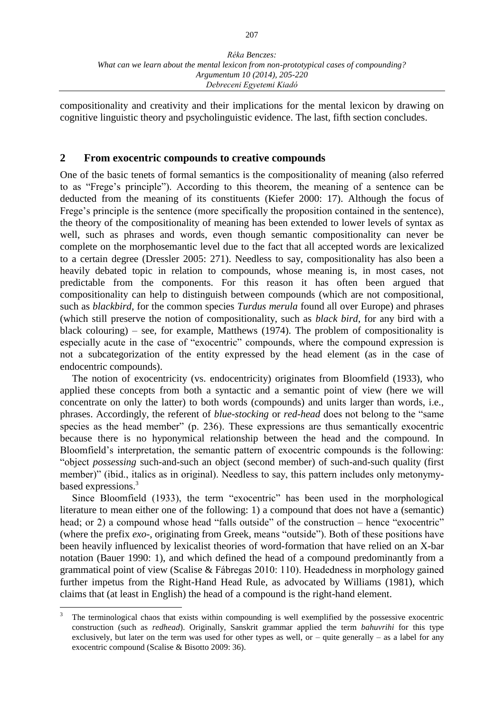compositionality and creativity and their implications for the mental lexicon by drawing on cognitive linguistic theory and psycholinguistic evidence. The last, fifth section concludes.

### **2 From exocentric compounds to creative compounds**

One of the basic tenets of formal semantics is the compositionality of meaning (also referred to as "Frege's principle"). According to this theorem, the meaning of a sentence can be deducted from the meaning of its constituents (Kiefer 2000: 17). Although the focus of Frege's principle is the sentence (more specifically the proposition contained in the sentence), the theory of the compositionality of meaning has been extended to lower levels of syntax as well, such as phrases and words, even though semantic compositionality can never be complete on the morphosemantic level due to the fact that all accepted words are lexicalized to a certain degree (Dressler 2005: 271). Needless to say, compositionality has also been a heavily debated topic in relation to compounds, whose meaning is, in most cases, not predictable from the components. For this reason it has often been argued that compositionality can help to distinguish between compounds (which are not compositional, such as *blackbird*, for the common species *Turdus merula* found all over Europe) and phrases (which still preserve the notion of compositionality, such as *black bird*, for any bird with a black colouring) – see, for example, Matthews (1974). The problem of compositionality is especially acute in the case of "exocentric" compounds, where the compound expression is not a subcategorization of the entity expressed by the head element (as in the case of endocentric compounds).

The notion of exocentricity (vs. endocentricity) originates from Bloomfield (1933), who applied these concepts from both a syntactic and a semantic point of view (here we will concentrate on only the latter) to both words (compounds) and units larger than words, i.e., phrases. Accordingly, the referent of *blue-stocking* or *red-head* does not belong to the "same species as the head member" (p. 236). These expressions are thus semantically exocentric because there is no hyponymical relationship between the head and the compound. In Bloomfield's interpretation, the semantic pattern of exocentric compounds is the following: "object *possessing* such-and-such an object (second member) of such-and-such quality (first member)" (ibid., italics as in original). Needless to say, this pattern includes only metonymybased expressions.<sup>3</sup>

Since Bloomfield (1933), the term "exocentric" has been used in the morphological literature to mean either one of the following: 1) a compound that does not have a (semantic) head; or 2) a compound whose head "falls outside" of the construction – hence "exocentric" (where the prefix *exo-*, originating from Greek, means "outside"). Both of these positions have been heavily influenced by lexicalist theories of word-formation that have relied on an X-bar notation (Bauer 1990: 1), and which defined the head of a compound predominantly from a grammatical point of view (Scalise & Fábregas 2010: 110). Headedness in morphology gained further impetus from the Right-Hand Head Rule, as advocated by Williams (1981), which claims that (at least in English) the head of a compound is the right-hand element.

<sup>3</sup> The terminological chaos that exists within compounding is well exemplified by the possessive exocentric construction (such as *redhead*). Originally, Sanskrit grammar applied the term *bahuvrihi* for this type exclusively, but later on the term was used for other types as well, or – quite generally – as a label for any exocentric compound (Scalise & Bisotto 2009: 36).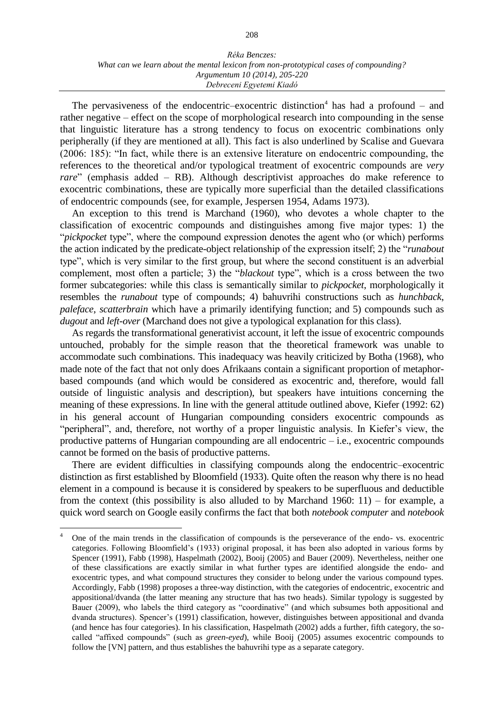The pervasiveness of the endocentric-exocentric distinction<sup>4</sup> has had a profound  $-$  and rather negative – effect on the scope of morphological research into compounding in the sense that linguistic literature has a strong tendency to focus on exocentric combinations only peripherally (if they are mentioned at all). This fact is also underlined by Scalise and Guevara (2006: 185): "In fact, while there is an extensive literature on endocentric compounding, the references to the theoretical and/or typological treatment of exocentric compounds are *very rare*" (emphasis added – RB). Although descriptivist approaches do make reference to exocentric combinations, these are typically more superficial than the detailed classifications of endocentric compounds (see, for example, Jespersen 1954, Adams 1973).

An exception to this trend is Marchand (1960), who devotes a whole chapter to the classification of exocentric compounds and distinguishes among five major types: 1) the "*pickpocket* type", where the compound expression denotes the agent who (or which) performs the action indicated by the predicate-object relationship of the expression itself; 2) the "*runabout* type", which is very similar to the first group, but where the second constituent is an adverbial complement, most often a particle; 3) the "*blackout* type", which is a cross between the two former subcategories: while this class is semantically similar to *pickpocket*, morphologically it resembles the *runabout* type of compounds; 4) bahuvrihi constructions such as *hunchback*, *paleface*, *scatterbrain* which have a primarily identifying function; and 5) compounds such as *dugout* and *left-over* (Marchand does not give a typological explanation for this class).

As regards the transformational generativist account, it left the issue of exocentric compounds untouched, probably for the simple reason that the theoretical framework was unable to accommodate such combinations. This inadequacy was heavily criticized by Botha (1968), who made note of the fact that not only does Afrikaans contain a significant proportion of metaphorbased compounds (and which would be considered as exocentric and, therefore, would fall outside of linguistic analysis and description), but speakers have intuitions concerning the meaning of these expressions. In line with the general attitude outlined above, Kiefer (1992: 62) in his general account of Hungarian compounding considers exocentric compounds as "peripheral", and, therefore, not worthy of a proper linguistic analysis. In Kiefer's view, the productive patterns of Hungarian compounding are all endocentric – i.e., exocentric compounds cannot be formed on the basis of productive patterns.

There are evident difficulties in classifying compounds along the endocentric–exocentric distinction as first established by Bloomfield (1933). Quite often the reason why there is no head element in a compound is because it is considered by speakers to be superfluous and deductible from the context (this possibility is also alluded to by Marchand 1960: 11) – for example, a quick word search on Google easily confirms the fact that both *notebook computer* and *notebook*

 $\overline{4}$ <sup>4</sup> One of the main trends in the classification of compounds is the perseverance of the endo- vs. exocentric categories. Following Bloomfield's (1933) original proposal, it has been also adopted in various forms by Spencer (1991), Fabb (1998), Haspelmath (2002), Booij (2005) and Bauer (2009). Nevertheless, neither one of these classifications are exactly similar in what further types are identified alongside the endo- and exocentric types, and what compound structures they consider to belong under the various compound types. Accordingly, Fabb (1998) proposes a three-way distinction, with the categories of endocentric, exocentric and appositional/dvanda (the latter meaning any structure that has two heads). Similar typology is suggested by Bauer (2009), who labels the third category as "coordinative" (and which subsumes both appositional and dvanda structures). Spencer's (1991) classification, however, distinguishes between appositional and dvanda (and hence has four categories). In his classification, Haspelmath (2002) adds a further, fifth category, the socalled "affixed compounds" (such as *green-eyed*), while Booij (2005) assumes exocentric compounds to follow the [VN] pattern, and thus establishes the bahuvrihi type as a separate category.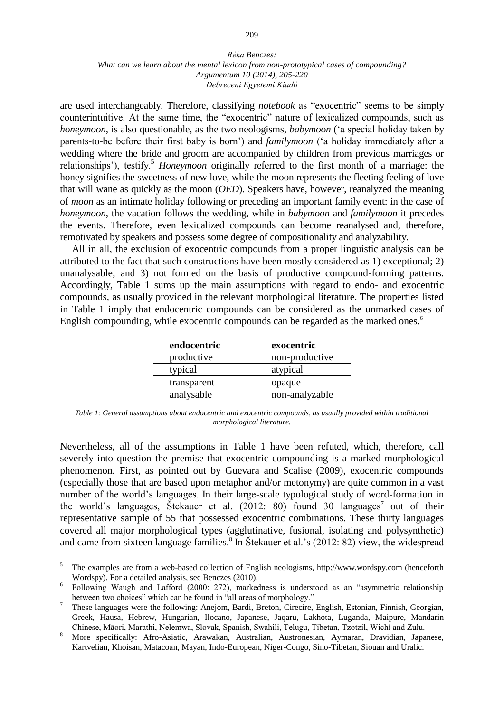are used interchangeably. Therefore, classifying *notebook* as "exocentric" seems to be simply counterintuitive. At the same time, the "exocentric" nature of lexicalized compounds, such as *honeymoon*, is also questionable, as the two neologisms, *babymoon* ('a special holiday taken by parents-to-be before their first baby is born') and *familymoon* ('a holiday immediately after a wedding where the bride and groom are accompanied by children from previous marriages or relationships'), testify.<sup>5</sup> *Honeymoon* originally referred to the first month of a marriage: the honey signifies the sweetness of new love, while the moon represents the fleeting feeling of love that will wane as quickly as the moon (*OED*). Speakers have, however, reanalyzed the meaning of *moon* as an intimate holiday following or preceding an important family event: in the case of *honeymoon*, the vacation follows the wedding, while in *babymoon* and *familymoon* it precedes the events. Therefore, even lexicalized compounds can become reanalysed and, therefore, remotivated by speakers and possess some degree of compositionality and analyzability.

All in all, the exclusion of exocentric compounds from a proper linguistic analysis can be attributed to the fact that such constructions have been mostly considered as 1) exceptional; 2) unanalysable; and 3) not formed on the basis of productive compound-forming patterns. Accordingly, Table 1 sums up the main assumptions with regard to endo- and exocentric compounds, as usually provided in the relevant morphological literature. The properties listed in Table 1 imply that endocentric compounds can be considered as the unmarked cases of English compounding, while exocentric compounds can be regarded as the marked ones.<sup>6</sup>

| endocentric | exocentric     |
|-------------|----------------|
| productive  | non-productive |
| typical     | atypical       |
| transparent | opaque         |
| analysable  | non-analyzable |

*Table 1: General assumptions about endocentric and exocentric compounds, as usually provided within traditional morphological literature.*

Nevertheless, all of the assumptions in Table 1 have been refuted, which, therefore, call severely into question the premise that exocentric compounding is a marked morphological phenomenon. First, as pointed out by Guevara and Scalise (2009), exocentric compounds (especially those that are based upon metaphor and/or metonymy) are quite common in a vast number of the world's languages. In their large-scale typological study of word-formation in the world's languages, Stekauer et al.  $(2012: 80)$  found 30 languages<sup>7</sup> out of their representative sample of 55 that possessed exocentric combinations. These thirty languages covered all major morphological types (agglutinative, fusional, isolating and polysynthetic) and came from sixteen language families.<sup>8</sup> In Štekauer et al.'s (2012: 82) view, the widespread

<sup>5</sup> The examples are from a web-based collection of English neologisms, http://www.wordspy.com (henceforth Wordspy). For a detailed analysis, see Benczes (2010).

<sup>&</sup>lt;sup>6</sup> Following Waugh and Lafford (2000: 272), markedness is understood as an "asymmetric relationship between two choices" which can be found in "all areas of morphology."

<sup>7</sup> These languages were the following: Anejom, Bardi, Breton, Cirecire, English, Estonian, Finnish, Georgian, Greek, Hausa, Hebrew, Hungarian, Ilocano, Japanese, Jaqaru, Lakhota, Luganda, Maipure, Mandarin Chinese, Māori, Marathi, Nelemwa, Slovak, Spanish, Swahili, Telugu, Tibetan, Tzotzil, Wichí and Zulu.

<sup>8</sup> More specifically: Afro-Asiatic, Arawakan, Australian, Austronesian, Aymaran, Dravidian, Japanese, Kartvelian, Khoisan, Matacoan, Mayan, Indo-European, Niger-Congo, Sino-Tibetan, Siouan and Uralic.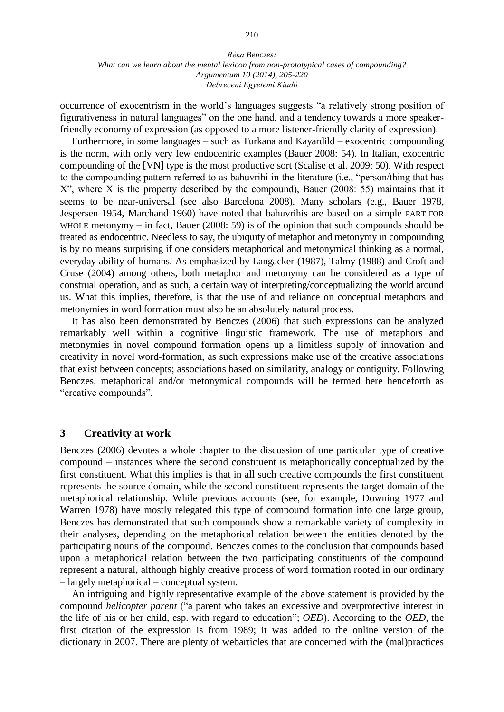occurrence of exocentrism in the world's languages suggests "a relatively strong position of figurativeness in natural languages" on the one hand, and a tendency towards a more speakerfriendly economy of expression (as opposed to a more listener-friendly clarity of expression).

Furthermore, in some languages – such as Turkana and Kayardild – exocentric compounding is the norm, with only very few endocentric examples (Bauer 2008: 54). In Italian, exocentric compounding of the [VN] type is the most productive sort (Scalise et al. 2009: 50). With respect to the compounding pattern referred to as bahuvrihi in the literature (i.e., "person/thing that has X", where X is the property described by the compound), Bauer (2008: 55) maintains that it seems to be near-universal (see also Barcelona 2008). Many scholars (e.g., Bauer 1978, Jespersen 1954, Marchand 1960) have noted that bahuvrihis are based on a simple PART FOR WHOLE metonymy – in fact, Bauer (2008: 59) is of the opinion that such compounds should be treated as endocentric. Needless to say, the ubiquity of metaphor and metonymy in compounding is by no means surprising if one considers metaphorical and metonymical thinking as a normal, everyday ability of humans. As emphasized by Langacker (1987), Talmy (1988) and Croft and Cruse (2004) among others, both metaphor and metonymy can be considered as a type of construal operation, and as such, a certain way of interpreting/conceptualizing the world around us. What this implies, therefore, is that the use of and reliance on conceptual metaphors and metonymies in word formation must also be an absolutely natural process.

It has also been demonstrated by Benczes (2006) that such expressions can be analyzed remarkably well within a cognitive linguistic framework. The use of metaphors and metonymies in novel compound formation opens up a limitless supply of innovation and creativity in novel word-formation, as such expressions make use of the creative associations that exist between concepts; associations based on similarity, analogy or contiguity. Following Benczes, metaphorical and/or metonymical compounds will be termed here henceforth as "creative compounds".

### **3 Creativity at work**

Benczes (2006) devotes a whole chapter to the discussion of one particular type of creative compound – instances where the second constituent is metaphorically conceptualized by the first constituent. What this implies is that in all such creative compounds the first constituent represents the source domain, while the second constituent represents the target domain of the metaphorical relationship. While previous accounts (see, for example, Downing 1977 and Warren 1978) have mostly relegated this type of compound formation into one large group, Benczes has demonstrated that such compounds show a remarkable variety of complexity in their analyses, depending on the metaphorical relation between the entities denoted by the participating nouns of the compound. Benczes comes to the conclusion that compounds based upon a metaphorical relation between the two participating constituents of the compound represent a natural, although highly creative process of word formation rooted in our ordinary – largely metaphorical – conceptual system.

An intriguing and highly representative example of the above statement is provided by the compound *helicopter parent* ("a parent who takes an excessive and overprotective interest in the life of his or her child, esp. with regard to education"; *OED*). According to the *OED*, the first citation of the expression is from 1989; it was added to the online version of the dictionary in 2007. There are plenty of webarticles that are concerned with the (mal)practices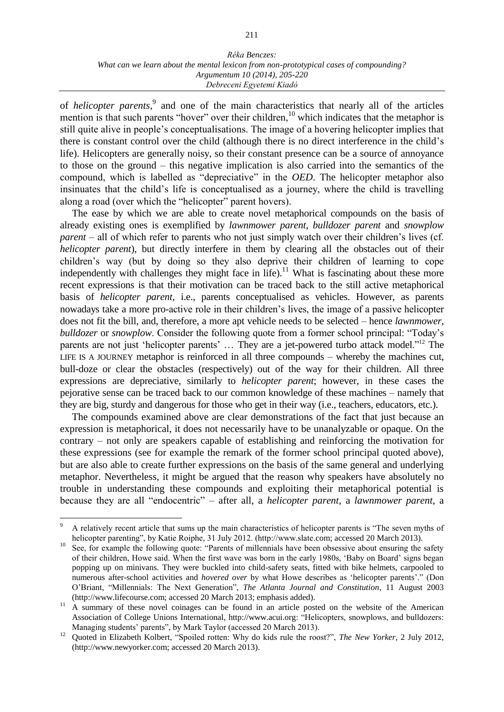of *helicopter parents*, 9 and one of the main characteristics that nearly all of the articles mention is that such parents "hover" over their children, $10$  which indicates that the metaphor is still quite alive in people's conceptualisations. The image of a hovering helicopter implies that there is constant control over the child (although there is no direct interference in the child's life). Helicopters are generally noisy, so their constant presence can be a source of annoyance to those on the ground – this negative implication is also carried into the semantics of the compound, which is labelled as "depreciative" in the *OED*. The helicopter metaphor also insinuates that the child's life is conceptualised as a journey, where the child is travelling along a road (over which the "helicopter" parent hovers).

The ease by which we are able to create novel metaphorical compounds on the basis of already existing ones is exemplified by *lawnmower parent*, *bulldozer parent* and *snowplow parent* – all of which refer to parents who not just simply watch over their children's lives (cf. *helicopter parent*), but directly interfere in them by clearing all the obstacles out of their children's way (but by doing so they also deprive their children of learning to cope independently with challenges they might face in life).<sup>11</sup> What is fascinating about these more recent expressions is that their motivation can be traced back to the still active metaphorical basis of *helicopter parent*, i.e., parents conceptualised as vehicles. However, as parents nowadays take a more pro-active role in their children's lives, the image of a passive helicopter does not fit the bill, and, therefore, a more apt vehicle needs to be selected – hence *lawnmower*, *bulldozer* or *snowplow*. Consider the following quote from a former school principal: "Today's parents are not just 'helicopter parents' ... They are a jet-powered turbo attack model."<sup>12</sup> The LIFE IS A JOURNEY metaphor is reinforced in all three compounds – whereby the machines cut, bull-doze or clear the obstacles (respectively) out of the way for their children. All three expressions are depreciative, similarly to *helicopter parent*; however, in these cases the pejorative sense can be traced back to our common knowledge of these machines – namely that they are big, sturdy and dangerous for those who get in their way (i.e., teachers, educators, etc.).

The compounds examined above are clear demonstrations of the fact that just because an expression is metaphorical, it does not necessarily have to be unanalyzable or opaque. On the contrary – not only are speakers capable of establishing and reinforcing the motivation for these expressions (see for example the remark of the former school principal quoted above), but are also able to create further expressions on the basis of the same general and underlying metaphor. Nevertheless, it might be argued that the reason why speakers have absolutely no trouble in understanding these compounds and exploiting their metaphorical potential is because they are all "endocentric" – after all, a *helicopter parent*, a *lawnmower parent*, a

<sup>9</sup> A relatively recent article that sums up the main characteristics of helicopter parents is "The seven myths of helicopter parenting", by Katie Roiphe, 31 July 2012. (http://www.slate.com; accessed 20 March 2013).

<sup>10</sup> See, for example the following quote: "Parents of millennials have been obsessive about ensuring the safety of their children, Howe said. When the first wave was born in the early 1980s, 'Baby on Board' signs began popping up on minivans. They were buckled into child-safety seats, fitted with bike helmets, carpooled to numerous after-school activities and *hovered over* by what Howe describes as 'helicopter parents'." (Don O'Briant, "Millennials: The Next Generation", *The Atlanta Journal and Constitution*, 11 August 2003 (http://www.lifecourse.com; accessed 20 March 2013; emphasis added).

<sup>&</sup>lt;sup>11</sup> A summary of these novel coinages can be found in an article posted on the website of the American Association of College Unions International, [http://www.acui.org:](http://www.acui.org/) "Helicopters, snowplows, and bulldozers: Managing students' parents'', by Mark Taylor (accessed 20 March 2013).

<sup>12</sup> Quoted in [Elizabeth Kolbert,](http://www.newyorker.com/magazine/bios/elizabeth_kolbert/search?contributorName=elizabeth%20kolbert) "Spoiled rotten: Why do kids rule the roost?", *The New Yorker*, 2 July 2012, [\(http://www.newyorker.com;](http://www.newyorker.com/) accessed 20 March 2013).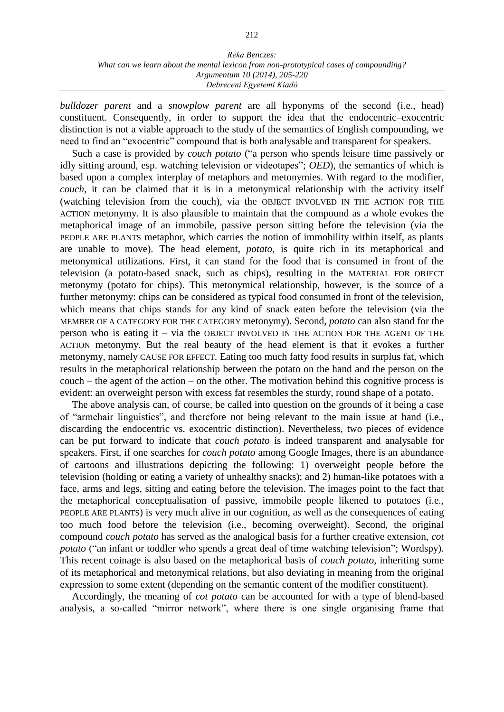*bulldozer parent* and a *snowplow parent* are all hyponyms of the second (i.e., head) constituent. Consequently, in order to support the idea that the endocentric–exocentric distinction is not a viable approach to the study of the semantics of English compounding, we need to find an "exocentric" compound that is both analysable and transparent for speakers.

Such a case is provided by *couch potato* ("a person who spends leisure time passively or idly sitting around, esp. watching television or videotapes"; *OED*), the semantics of which is based upon a complex interplay of metaphors and metonymies. With regard to the modifier, *couch*, it can be claimed that it is in a metonymical relationship with the activity itself (watching television from the couch), via the OBJECT INVOLVED IN THE ACTION FOR THE ACTION metonymy. It is also plausible to maintain that the compound as a whole evokes the metaphorical image of an immobile, passive person sitting before the television (via the PEOPLE ARE PLANTS metaphor, which carries the notion of immobility within itself, as plants are unable to move). The head element, *potato*, is quite rich in its metaphorical and metonymical utilizations. First, it can stand for the food that is consumed in front of the television (a potato-based snack, such as chips), resulting in the MATERIAL FOR OBJECT metonymy (potato for chips). This metonymical relationship, however, is the source of a further metonymy: chips can be considered as typical food consumed in front of the television, which means that chips stands for any kind of snack eaten before the television (via the MEMBER OF A CATEGORY FOR THE CATEGORY metonymy). Second, *potato* can also stand for the person who is eating it – via the OBJECT INVOLVED IN THE ACTION FOR THE AGENT OF THE ACTION metonymy. But the real beauty of the head element is that it evokes a further metonymy, namely CAUSE FOR EFFECT. Eating too much fatty food results in surplus fat, which results in the metaphorical relationship between the potato on the hand and the person on the couch – the agent of the action – on the other. The motivation behind this cognitive process is evident: an overweight person with excess fat resembles the sturdy, round shape of a potato.

The above analysis can, of course, be called into question on the grounds of it being a case of "armchair linguistics", and therefore not being relevant to the main issue at hand (i.e., discarding the endocentric vs. exocentric distinction). Nevertheless, two pieces of evidence can be put forward to indicate that *couch potato* is indeed transparent and analysable for speakers. First, if one searches for *couch potato* among Google Images, there is an abundance of cartoons and illustrations depicting the following: 1) overweight people before the television (holding or eating a variety of unhealthy snacks); and 2) human-like potatoes with a face, arms and legs, sitting and eating before the television. The images point to the fact that the metaphorical conceptualisation of passive, immobile people likened to potatoes (i.e., PEOPLE ARE PLANTS) is very much alive in our cognition, as well as the consequences of eating too much food before the television (i.e., becoming overweight). Second, the original compound *couch potato* has served as the analogical basis for a further creative extension, *cot potato* ("an infant or toddler who spends a great deal of time watching television"; Wordspy). This recent coinage is also based on the metaphorical basis of *couch potato*, inheriting some of its metaphorical and metonymical relations, but also deviating in meaning from the original expression to some extent (depending on the semantic content of the modifier constituent).

Accordingly, the meaning of *cot potato* can be accounted for with a type of blend-based analysis, a so-called "mirror network", where there is one single organising frame that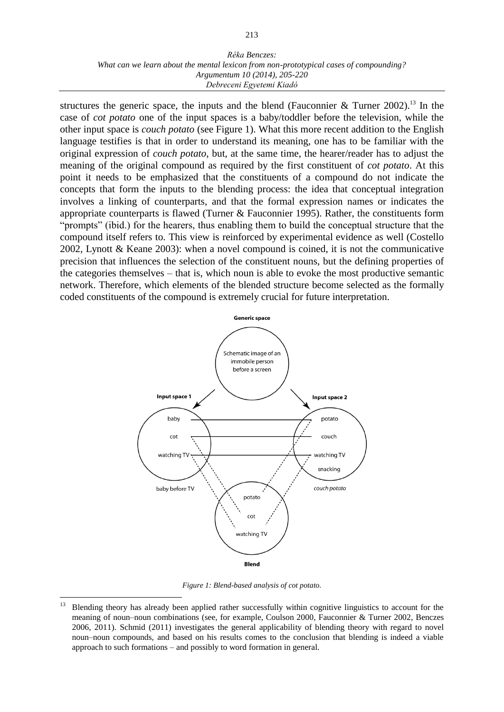structures the generic space, the inputs and the blend (Fauconnier & Turner 2002).<sup>13</sup> In the case of *cot potato* one of the input spaces is a baby/toddler before the television, while the other input space is *couch potato* (see Figure 1). What this more recent addition to the English language testifies is that in order to understand its meaning, one has to be familiar with the original expression of *couch potato*, but, at the same time, the hearer/reader has to adjust the meaning of the original compound as required by the first constituent of *cot potato*. At this point it needs to be emphasized that the constituents of a compound do not indicate the concepts that form the inputs to the blending process: the idea that conceptual integration involves a linking of counterparts, and that the formal expression names or indicates the appropriate counterparts is flawed (Turner & Fauconnier 1995). Rather, the constituents form "prompts" (ibid.) for the hearers, thus enabling them to build the conceptual structure that the compound itself refers to. This view is reinforced by experimental evidence as well (Costello 2002, Lynott & Keane 2003): when a novel compound is coined, it is not the communicative precision that influences the selection of the constituent nouns, but the defining properties of the categories themselves – that is, which noun is able to evoke the most productive semantic network. Therefore, which elements of the blended structure become selected as the formally coded constituents of the compound is extremely crucial for future interpretation.



*Figure 1: Blend-based analysis of cot potato.*

<sup>13</sup> Blending theory has already been applied rather successfully within cognitive linguistics to account for the meaning of noun–noun combinations (see, for example, Coulson 2000, Fauconnier & Turner 2002, Benczes 2006, 2011). Schmid (2011) investigates the general applicability of blending theory with regard to novel noun–noun compounds, and based on his results comes to the conclusion that blending is indeed a viable approach to such formations – and possibly to word formation in general.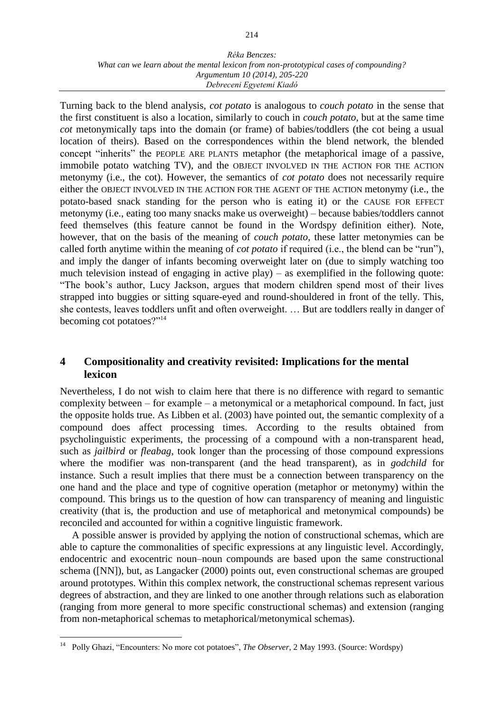Turning back to the blend analysis, *cot potato* is analogous to *couch potato* in the sense that the first constituent is also a location, similarly to couch in *couch potato*, but at the same time *cot* metonymically taps into the domain (or frame) of babies/toddlers (the cot being a usual location of theirs). Based on the correspondences within the blend network, the blended concept "inherits" the PEOPLE ARE PLANTS metaphor (the metaphorical image of a passive, immobile potato watching TV), and the OBJECT INVOLVED IN THE ACTION FOR THE ACTION metonymy (i.e., the cot). However, the semantics of *cot potato* does not necessarily require either the OBJECT INVOLVED IN THE ACTION FOR THE AGENT OF THE ACTION metonymy (i.e., the potato-based snack standing for the person who is eating it) or the CAUSE FOR EFFECT metonymy (i.e., eating too many snacks make us overweight) – because babies/toddlers cannot feed themselves (this feature cannot be found in the Wordspy definition either). Note, however, that on the basis of the meaning of *couch potato*, these latter metonymies can be called forth anytime within the meaning of *cot potato* if required (i.e., the blend can be "run"), and imply the danger of infants becoming overweight later on (due to simply watching too much television instead of engaging in active play) – as exemplified in the following quote: "The book's author, Lucy Jackson, argues that modern children spend most of their lives strapped into buggies or sitting square-eyed and round-shouldered in front of the telly. This, she contests, leaves toddlers unfit and often overweight. … But are toddlers really in danger of becoming cot potatoes?"<sup>14</sup>

# **4 Compositionality and creativity revisited: Implications for the mental lexicon**

Nevertheless, I do not wish to claim here that there is no difference with regard to semantic complexity between – for example – a metonymical or a metaphorical compound. In fact, just the opposite holds true. As Libben et al. (2003) have pointed out, the semantic complexity of a compound does affect processing times. According to the results obtained from psycholinguistic experiments, the processing of a compound with a non-transparent head, such as *jailbird* or *fleabag*, took longer than the processing of those compound expressions where the modifier was non-transparent (and the head transparent), as in *godchild* for instance. Such a result implies that there must be a connection between transparency on the one hand and the place and type of cognitive operation (metaphor or metonymy) within the compound. This brings us to the question of how can transparency of meaning and linguistic creativity (that is, the production and use of metaphorical and metonymical compounds) be reconciled and accounted for within a cognitive linguistic framework.

A possible answer is provided by applying the notion of constructional schemas, which are able to capture the commonalities of specific expressions at any linguistic level. Accordingly, endocentric and exocentric noun–noun compounds are based upon the same constructional schema ([NN]), but, as Langacker (2000) points out, even constructional schemas are grouped around prototypes. Within this complex network, the constructional schemas represent various degrees of abstraction, and they are linked to one another through relations such as elaboration (ranging from more general to more specific constructional schemas) and extension (ranging from non-metaphorical schemas to metaphorical/metonymical schemas).

 $14\,$ <sup>14</sup> Polly Ghazi, "Encounters: No more cot potatoes", *The Observer*, 2 May 1993. (Source: Wordspy)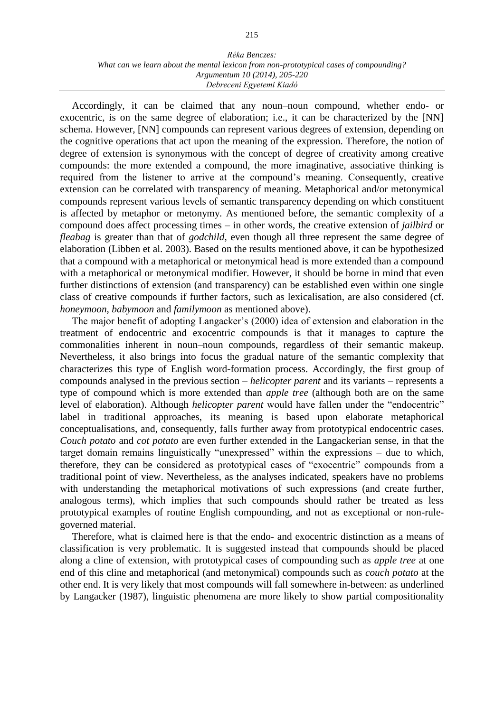Accordingly, it can be claimed that any noun–noun compound, whether endo- or exocentric, is on the same degree of elaboration; i.e., it can be characterized by the [NN] schema. However, [NN] compounds can represent various degrees of extension, depending on the cognitive operations that act upon the meaning of the expression. Therefore, the notion of degree of extension is synonymous with the concept of degree of creativity among creative compounds: the more extended a compound, the more imaginative, associative thinking is required from the listener to arrive at the compound's meaning. Consequently, creative extension can be correlated with transparency of meaning. Metaphorical and/or metonymical compounds represent various levels of semantic transparency depending on which constituent is affected by metaphor or metonymy. As mentioned before, the semantic complexity of a compound does affect processing times – in other words, the creative extension of *jailbird* or *fleabag* is greater than that of *godchild*, even though all three represent the same degree of elaboration (Libben et al. 2003). Based on the results mentioned above, it can be hypothesized that a compound with a metaphorical or metonymical head is more extended than a compound with a metaphorical or metonymical modifier. However, it should be borne in mind that even further distinctions of extension (and transparency) can be established even within one single class of creative compounds if further factors, such as lexicalisation, are also considered (cf. *honeymoon*, *babymoon* and *familymoon* as mentioned above).

The major benefit of adopting Langacker's (2000) idea of extension and elaboration in the treatment of endocentric and exocentric compounds is that it manages to capture the commonalities inherent in noun–noun compounds, regardless of their semantic makeup. Nevertheless, it also brings into focus the gradual nature of the semantic complexity that characterizes this type of English word-formation process. Accordingly, the first group of compounds analysed in the previous section – *helicopter parent* and its variants – represents a type of compound which is more extended than *apple tree* (although both are on the same level of elaboration). Although *helicopter parent* would have fallen under the "endocentric" label in traditional approaches, its meaning is based upon elaborate metaphorical conceptualisations, and, consequently, falls further away from prototypical endocentric cases. *Couch potato* and *cot potato* are even further extended in the Langackerian sense, in that the target domain remains linguistically "unexpressed" within the expressions – due to which, therefore, they can be considered as prototypical cases of "exocentric" compounds from a traditional point of view. Nevertheless, as the analyses indicated, speakers have no problems with understanding the metaphorical motivations of such expressions (and create further, analogous terms), which implies that such compounds should rather be treated as less prototypical examples of routine English compounding, and not as exceptional or non-rulegoverned material.

Therefore, what is claimed here is that the endo- and exocentric distinction as a means of classification is very problematic. It is suggested instead that compounds should be placed along a cline of extension, with prototypical cases of compounding such as *apple tree* at one end of this cline and metaphorical (and metonymical) compounds such as *couch potato* at the other end. It is very likely that most compounds will fall somewhere in-between: as underlined by Langacker (1987), linguistic phenomena are more likely to show partial compositionality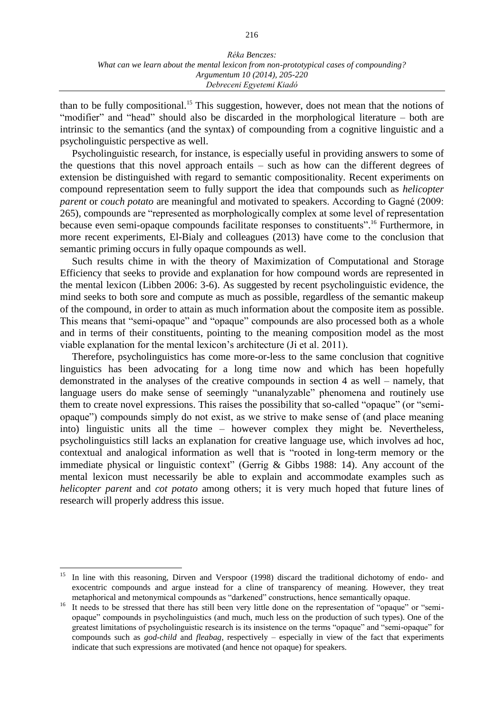than to be fully compositional.<sup>15</sup> This suggestion, however, does not mean that the notions of "modifier" and "head" should also be discarded in the morphological literature – both are intrinsic to the semantics (and the syntax) of compounding from a cognitive linguistic and a psycholinguistic perspective as well.

Psycholinguistic research, for instance, is especially useful in providing answers to some of the questions that this novel approach entails – such as how can the different degrees of extension be distinguished with regard to semantic compositionality. Recent experiments on compound representation seem to fully support the idea that compounds such as *helicopter parent* or *couch potato* are meaningful and motivated to speakers. According to Gagné (2009: 265), compounds are "represented as morphologically complex at some level of representation because even semi-opaque compounds facilitate responses to constituents".<sup>16</sup> Furthermore, in more recent experiments, El-Bialy and colleagues (2013) have come to the conclusion that semantic priming occurs in fully opaque compounds as well.

Such results chime in with the theory of Maximization of Computational and Storage Efficiency that seeks to provide and explanation for how compound words are represented in the mental lexicon (Libben 2006: 3-6). As suggested by recent psycholinguistic evidence, the mind seeks to both sore and compute as much as possible, regardless of the semantic makeup of the compound, in order to attain as much information about the composite item as possible. This means that "semi-opaque" and "opaque" compounds are also processed both as a whole and in terms of their constituents, pointing to the meaning composition model as the most viable explanation for the mental lexicon's architecture (Ji et al. 2011).

Therefore, psycholinguistics has come more-or-less to the same conclusion that cognitive linguistics has been advocating for a long time now and which has been hopefully demonstrated in the analyses of the creative compounds in section 4 as well – namely, that language users do make sense of seemingly "unanalyzable" phenomena and routinely use them to create novel expressions. This raises the possibility that so-called "opaque" (or "semiopaque") compounds simply do not exist, as we strive to make sense of (and place meaning into) linguistic units all the time – however complex they might be. Nevertheless, psycholinguistics still lacks an explanation for creative language use, which involves ad hoc, contextual and analogical information as well that is "rooted in long-term memory or the immediate physical or linguistic context" (Gerrig & Gibbs 1988: 14). Any account of the mental lexicon must necessarily be able to explain and accommodate examples such as *helicopter parent* and *cot potato* among others; it is very much hoped that future lines of research will properly address this issue.

In line with this reasoning, Dirven and Verspoor (1998) discard the traditional dichotomy of endo- and exocentric compounds and argue instead for a cline of transparency of meaning. However, they treat metaphorical and metonymical compounds as "darkened" constructions, hence semantically opaque.

<sup>16</sup> It needs to be stressed that there has still been very little done on the representation of "opaque" or "semiopaque" compounds in psycholinguistics (and much, much less on the production of such types). One of the greatest limitations of psycholinguistic research is its insistence on the terms "opaque" and "semi-opaque" for compounds such as *god-child* and *fleabag*, respectively – especially in view of the fact that experiments indicate that such expressions are motivated (and hence not opaque) for speakers.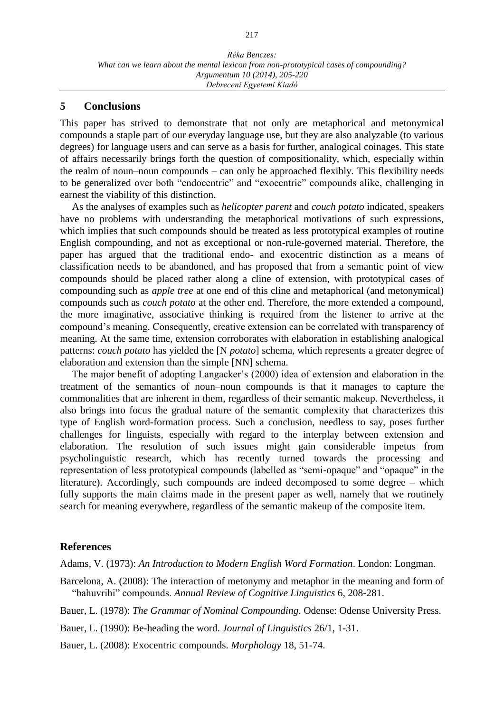### **5 Conclusions**

This paper has strived to demonstrate that not only are metaphorical and metonymical compounds a staple part of our everyday language use, but they are also analyzable (to various degrees) for language users and can serve as a basis for further, analogical coinages. This state of affairs necessarily brings forth the question of compositionality, which, especially within the realm of noun–noun compounds – can only be approached flexibly. This flexibility needs to be generalized over both "endocentric" and "exocentric" compounds alike, challenging in earnest the viability of this distinction.

As the analyses of examples such as *helicopter parent* and *couch potato* indicated, speakers have no problems with understanding the metaphorical motivations of such expressions, which implies that such compounds should be treated as less prototypical examples of routine English compounding, and not as exceptional or non-rule-governed material. Therefore, the paper has argued that the traditional endo- and exocentric distinction as a means of classification needs to be abandoned, and has proposed that from a semantic point of view compounds should be placed rather along a cline of extension, with prototypical cases of compounding such as *apple tree* at one end of this cline and metaphorical (and metonymical) compounds such as *couch potato* at the other end. Therefore, the more extended a compound, the more imaginative, associative thinking is required from the listener to arrive at the compound's meaning. Consequently, creative extension can be correlated with transparency of meaning. At the same time, extension corroborates with elaboration in establishing analogical patterns: *couch potato* has yielded the [N *potato*] schema, which represents a greater degree of elaboration and extension than the simple [NN] schema.

The major benefit of adopting Langacker's (2000) idea of extension and elaboration in the treatment of the semantics of noun–noun compounds is that it manages to capture the commonalities that are inherent in them, regardless of their semantic makeup. Nevertheless, it also brings into focus the gradual nature of the semantic complexity that characterizes this type of English word-formation process. Such a conclusion, needless to say, poses further challenges for linguists, especially with regard to the interplay between extension and elaboration. The resolution of such issues might gain considerable impetus from psycholinguistic research, which has recently turned towards the processing and representation of less prototypical compounds (labelled as "semi-opaque" and "opaque" in the literature). Accordingly, such compounds are indeed decomposed to some degree – which fully supports the main claims made in the present paper as well, namely that we routinely search for meaning everywhere, regardless of the semantic makeup of the composite item.

## **References**

Adams, V. (1973): *An Introduction to Modern English Word Formation*. London: Longman.

Barcelona, A. (2008): The interaction of metonymy and metaphor in the meaning and form of "bahuvrihi" compounds. *Annual Review of Cognitive Linguistics* 6, 208-281.

Bauer, L. (1978): *The Grammar of Nominal Compounding*. Odense: Odense University Press.

Bauer, L. (1990): Be-heading the word. *Journal of Linguistics* 26/1, 1-31.

Bauer, L. (2008): Exocentric compounds. *Morphology* 18, 51-74.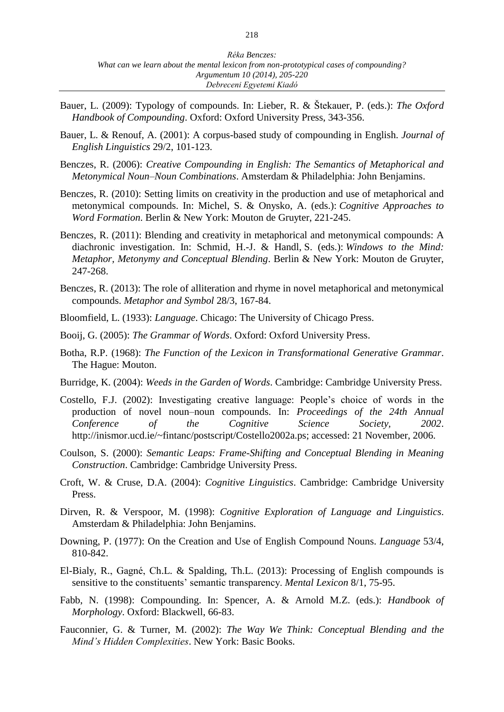- Bauer, L. (2009): Typology of compounds. In: Lieber, R. & Štekauer, P. (eds.): *The Oxford Handbook of Compounding*. Oxford: Oxford University Press, 343-356.
- Bauer, L. & Renouf, A. (2001): A corpus-based study of compounding in English. *Journal of English Linguistics* 29/2, 101-123.
- Benczes, R. (2006): *Creative Compounding in English: The Semantics of Metaphorical and Metonymical Noun–Noun Combinations*. Amsterdam & Philadelphia: John Benjamins.
- Benczes, R. (2010): Setting limits on creativity in the production and use of metaphorical and metonymical compounds. In: Michel, S. & Onysko, A. (eds.): *Cognitive Approaches to Word Formation*. Berlin & New York: Mouton de Gruyter, 221-245.
- Benczes, R. (2011): Blending and creativity in metaphorical and metonymical compounds: A diachronic investigation. In: Schmid, H.-J. & Handl, S. (eds.): *Windows to the Mind: Metaphor, Metonymy and Conceptual Blending*. Berlin & New York: Mouton de Gruyter, 247-268.
- Benczes, R. (2013): The role of alliteration and rhyme in novel metaphorical and metonymical compounds. *Metaphor and Symbol* 28/3, 167-84.
- Bloomfield, L. (1933): *Language*. Chicago: The University of Chicago Press.
- Booij, G. (2005): *The Grammar of Words*. Oxford: Oxford University Press.
- Botha, R.P. (1968): *The Function of the Lexicon in Transformational Generative Grammar*. The Hague: Mouton.
- Burridge, K. (2004): *Weeds in the Garden of Words*. Cambridge: Cambridge University Press.
- Costello, F.J. (2002): Investigating creative language: People's choice of words in the production of novel noun–noun compounds. In: *Proceedings of the 24th Annual Conference of the Cognitive Science Society, 2002*. http://inismor.ucd.ie/~fintanc/postscript/Costello2002a.ps; accessed: 21 November, 2006.
- Coulson, S. (2000): *Semantic Leaps: Frame-Shifting and Conceptual Blending in Meaning Construction*. Cambridge: Cambridge University Press.
- Croft, W. & Cruse, D.A. (2004): *Cognitive Linguistics*. Cambridge: Cambridge University Press.
- Dirven, R. & Verspoor, M. (1998): *Cognitive Exploration of Language and Linguistics*. Amsterdam & Philadelphia: John Benjamins.
- Downing, P. (1977): On the Creation and Use of English Compound Nouns. *Language* 53/4, 810-842.
- El-Bialy, R., Gagné, Ch.L. & Spalding, Th.L. (2013): Processing of English compounds is sensitive to the constituents' semantic transparency. *Mental Lexicon* 8/1, 75-95.
- Fabb, N. (1998): Compounding. In: Spencer, A. & Arnold M.Z. (eds.): *Handbook of Morphology*. Oxford: Blackwell, 66-83.
- Fauconnier, G. & Turner, M. (2002): *The Way We Think: Conceptual Blending and the Mind's Hidden Complexities*. New York: Basic Books.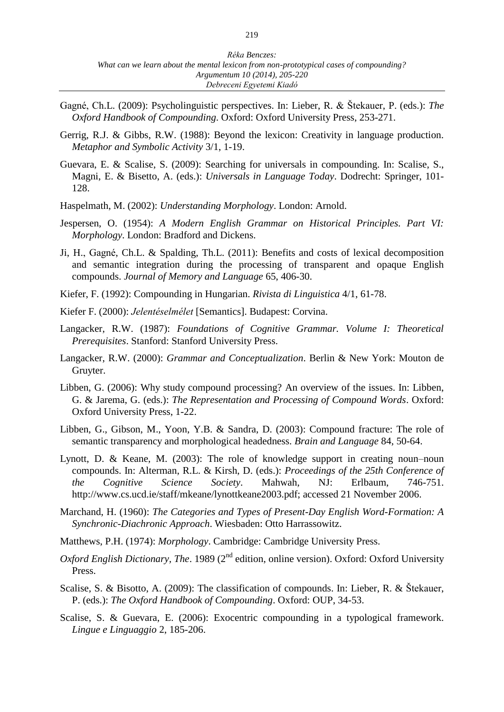- Gagné, Ch.L. (2009): Psycholinguistic perspectives. In: Lieber, R. & Štekauer, P. (eds.): *The Oxford Handbook of Compounding*. Oxford: Oxford University Press, 253-271.
- Gerrig, R.J. & Gibbs, R.W. (1988): Beyond the lexicon: Creativity in language production. *Metaphor and Symbolic Activity* 3/1, 1-19.
- Guevara, E. & Scalise, S. (2009): Searching for universals in compounding. In: Scalise, S., Magni, E. & Bisetto, A. (eds.): *Universals in Language Today*. Dodrecht: Springer, 101- 128.
- Haspelmath, M. (2002): *Understanding Morphology*. London: Arnold.
- Jespersen, O. (1954): *A Modern English Grammar on Historical Principles. Part VI: Morphology*. London: Bradford and Dickens.
- Ji, H., Gagné, Ch.L. & Spalding, Th.L. (2011): Benefits and costs of lexical decomposition and semantic integration during the processing of transparent and opaque English compounds. *Journal of Memory and Language* 65, 406-30.
- Kiefer, F. (1992): Compounding in Hungarian. *Rivista di Linguistica* 4/1, 61-78.
- Kiefer F. (2000): *Jelentéselmélet* [Semantics]. Budapest: Corvina.
- Langacker, R.W. (1987): *Foundations of Cognitive Grammar. Volume I: Theoretical Prerequisites*. Stanford: Stanford University Press.
- Langacker, R.W. (2000): *Grammar and Conceptualization*. Berlin & New York: Mouton de Gruyter.
- Libben, G. (2006): Why study compound processing? An overview of the issues. In: Libben, G. & Jarema, G. (eds.): *The Representation and Processing of Compound Words*. Oxford: Oxford University Press, 1-22.
- Libben, G., Gibson, M., Yoon, Y.B. & Sandra, D. (2003): Compound fracture: The role of semantic transparency and morphological headedness. *Brain and Language* 84, 50-64.
- Lynott, D. & Keane, M. (2003): The role of knowledge support in creating noun–noun compounds. In: Alterman, R.L. & Kirsh, D. (eds.): *Proceedings of the 25th Conference of the Cognitive Science Society*. Mahwah, NJ: Erlbaum, 746-751. http://www.cs.ucd.ie/staff/mkeane/lynottkeane2003.pdf; accessed 21 November 2006.
- Marchand, H. (1960): *The Categories and Types of Present-Day English Word-Formation: A Synchronic-Diachronic Approach*. Wiesbaden: Otto Harrassowitz.
- Matthews, P.H. (1974): *Morphology*. Cambridge: Cambridge University Press.
- Oxford English Dictionary, The. 1989 (2<sup>nd</sup> edition, online version). Oxford: Oxford University Press.
- Scalise, S. & Bisotto, A. (2009): The classification of compounds. In: Lieber, R. & Štekauer, P. (eds.): *The Oxford Handbook of Compounding*. Oxford: OUP, 34-53.
- Scalise, S. & Guevara, E. (2006): Exocentric compounding in a typological framework. *Lingue e Linguaggio* 2, 185-206.